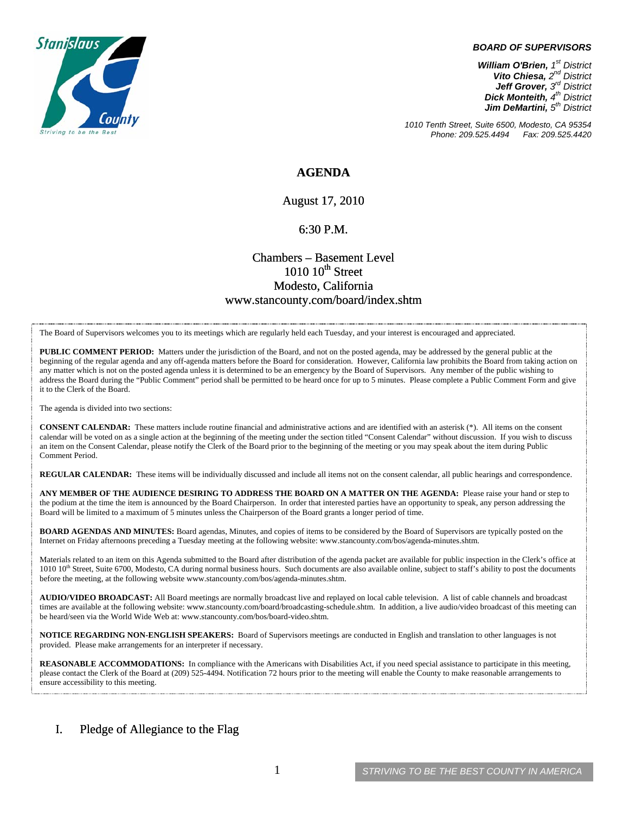

#### *BOARD OF SUPERVISORS*

*William O'Brien, 1st District Vito Chiesa, 2nd District Jeff Grover, 3rd District Dick Monteith, 4th District Jim DeMartini, 5th District*

*1010 Tenth Street, Suite 6500, Modesto, CA 95354 Phone: 209.525.4494* 

## **AGENDA**

August 17, 2010

#### 6:30 P.M.

# Chambers – Basement Level  $1010~10$ <sup>th</sup> Street Modesto, California www.stancounty.com/board/index.shtm

The Board of Supervisors welcomes you to its meetings which are regularly held each Tuesday, and your interest is encouraged and appreciated.

**PUBLIC COMMENT PERIOD:** Matters under the jurisdiction of the Board, and not on the posted agenda, may be addressed by the general public at the beginning of the regular agenda and any off-agenda matters before the Board for consideration. However, California law prohibits the Board from taking action on any matter which is not on the posted agenda unless it is determined to be an emergency by the Board of Supervisors. Any member of the public wishing to address the Board during the "Public Comment" period shall be permitted to be heard once for up to 5 minutes. Please complete a Public Comment Form and give it to the Clerk of the Board.

The agenda is divided into two sections:

**CONSENT CALENDAR:** These matters include routine financial and administrative actions and are identified with an asterisk (\*). All items on the consent calendar will be voted on as a single action at the beginning of the meeting under the section titled "Consent Calendar" without discussion. If you wish to discuss an item on the Consent Calendar, please notify the Clerk of the Board prior to the beginning of the meeting or you may speak about the item during Public Comment Period.

**REGULAR CALENDAR:** These items will be individually discussed and include all items not on the consent calendar, all public hearings and correspondence.

**ANY MEMBER OF THE AUDIENCE DESIRING TO ADDRESS THE BOARD ON A MATTER ON THE AGENDA:** Please raise your hand or step to the podium at the time the item is announced by the Board Chairperson. In order that interested parties have an opportunity to speak, any person addressing the Board will be limited to a maximum of 5 minutes unless the Chairperson of the Board grants a longer period of time.

**BOARD AGENDAS AND MINUTES:** Board agendas, Minutes, and copies of items to be considered by the Board of Supervisors are typically posted on the Internet on Friday afternoons preceding a Tuesday meeting at the following website: www.stancounty.com/bos/agenda-minutes.shtm.

Materials related to an item on this Agenda submitted to the Board after distribution of the agenda packet are available for public inspection in the Clerk's office at 1010 10<sup>th</sup> Street, Suite 6700, Modesto, CA during normal business hours. Such documents are also available online, subject to staff's ability to post the documents before the meeting, at the following website www.stancounty.com/bos/agenda-minutes.shtm.

**AUDIO/VIDEO BROADCAST:** All Board meetings are normally broadcast live and replayed on local cable television. A list of cable channels and broadcast times are available at the following website: www.stancounty.com/board/broadcasting-schedule.shtm. In addition, a live audio/video broadcast of this meeting can be heard/seen via the World Wide Web at: www.stancounty.com/bos/board-video.shtm.

**NOTICE REGARDING NON-ENGLISH SPEAKERS:** Board of Supervisors meetings are conducted in English and translation to other languages is not provided. Please make arrangements for an interpreter if necessary.

**REASONABLE ACCOMMODATIONS:** In compliance with the Americans with Disabilities Act, if you need special assistance to participate in this meeting, please contact the Clerk of the Board at (209) 525-4494. Notification 72 hours prior to the meeting will enable the County to make reasonable arrangements to ensure accessibility to this meeting.

### I. Pledge of Allegiance to the Flag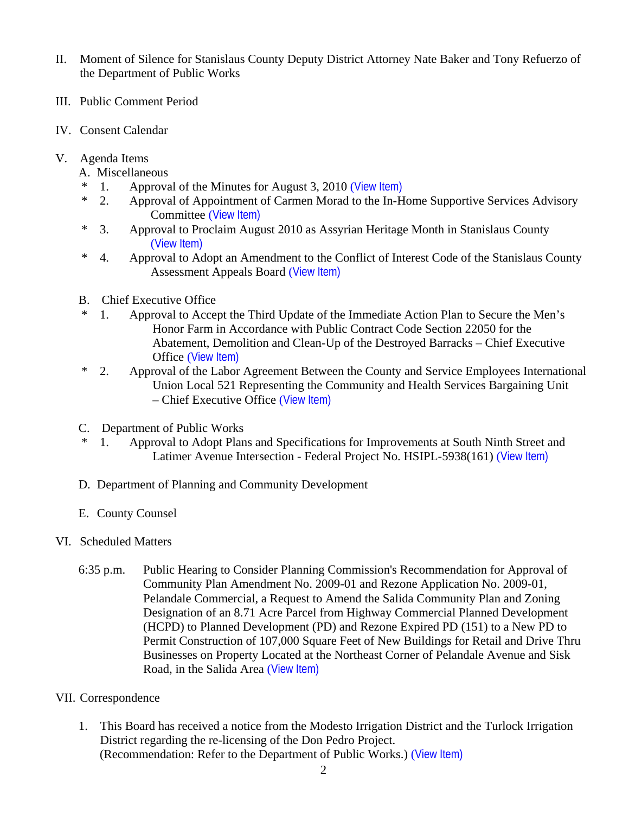- II. Moment of Silence for Stanislaus County Deputy District Attorney Nate Baker and Tony Refuerzo of the Department of Public Works
- III. Public Comment Period
- IV. Consent Calendar
- V. Agenda Items
	- A. Miscellaneous
	- 1. Approval of the Minutes for August 3, 2010 ([View Item\)](http://www.stancounty.com/bos/minutes/2010/min08-03-10.pdf)
	- \* 2. Approval of Appointment of Carmen Morad to the In-Home Supportive Services Advisory Committee ([View Item\)](http://www.stancounty.com/bos/agenda/2010/20100817/A02.pdf)
	- \* 3. Approval to Proclaim August 2010 as Assyrian Heritage Month in Stanislaus County ([View Item\)](http://www.stancounty.com/bos/agenda/2010/20100817/A03.pdf)
	- \* 4. Approval to Adopt an Amendment to the Conflict of Interest Code of the Stanislaus County Assessment Appeals Board ([View Item\)](http://www.stancounty.com/bos/agenda/2010/20100817/A04.pdf)
	- B. Chief Executive Office
	- 1. Approval to Accept the Third Update of the Immediate Action Plan to Secure the Men's Honor Farm in Accordance with Public Contract Code Section 22050 for the Abatement, Demolition and Clean-Up of the Destroyed Barracks – Chief Executive Office ([View Item\)](http://www.stancounty.com/bos/agenda/2010/20100817/B01.pdf)
	- \* 2. Approval of the Labor Agreement Between the County and Service Employees International Union Local 521 Representing the Community and Health Services Bargaining Unit – Chief Executive Office ([View Item\)](http://www.stancounty.com/bos/agenda/2010/20100817/B02.pdf)
	- C. Department of Public Works
	- \* 1. Approval to Adopt Plans and Specifications for Improvements at South Ninth Street and Latimer Avenue Intersection - Federal Project No. HSIPL-5938(161) ([View Item\)](http://www.stancounty.com/bos/agenda/2010/20100817/C01.pdf)
	- D. Department of Planning and Community Development
	- E. County Counsel
- VI. Scheduled Matters
	- 6:35 p.m. Public Hearing to Consider Planning Commission's Recommendation for Approval of Community Plan Amendment No. 2009-01 and Rezone Application No. 2009-01, Pelandale Commercial, a Request to Amend the Salida Community Plan and Zoning Designation of an 8.71 Acre Parcel from Highway Commercial Planned Development (HCPD) to Planned Development (PD) and Rezone Expired PD (151) to a New PD to Permit Construction of 107,000 Square Feet of New Buildings for Retail and Drive Thru Businesses on Property Located at the Northeast Corner of Pelandale Avenue and Sisk Road, in the Salida Area ([View Item\)](http://www.stancounty.com/bos/agenda/2010/20100817/PH635.pdf)
- VII. Correspondence
	- 1. This Board has received a notice from the Modesto Irrigation District and the Turlock Irrigation District regarding the re-licensing of the Don Pedro Project. (Recommendation: Refer to the Department of Public Works.) ([View Item\)](http://www.stancounty.com/bos/agenda/2010/20100817/Corr01.pdf)